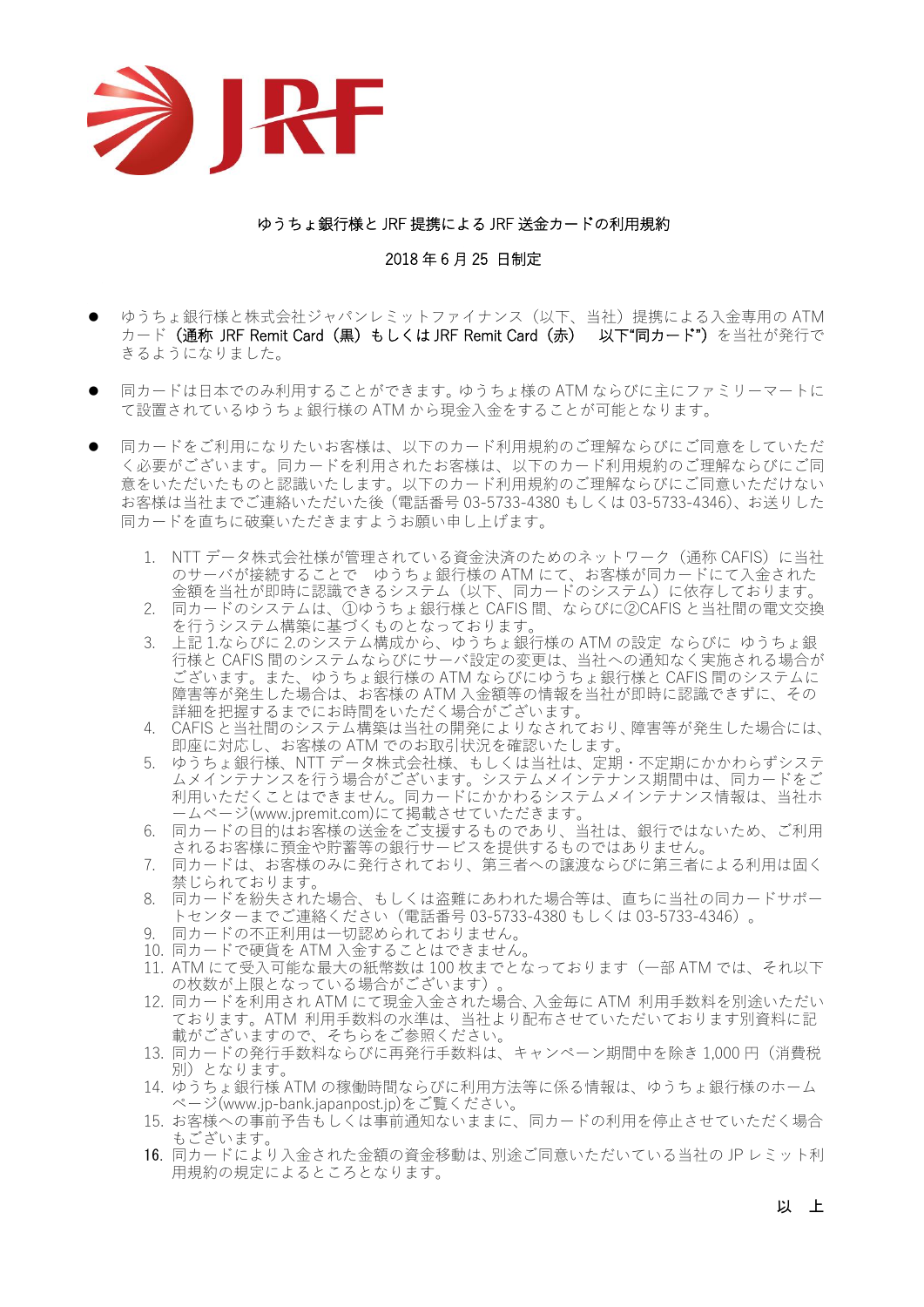

## ゆうちょ銀行様と JRF 提携による JRF 送金カードの利用規約

## 2018 年 6 月 25 日制定

- ゆうちょ銀行様と株式会社ジャパンレミットファイナンス (以下、当社)提携による入金専用の ATM カード (通称 JRF Remit Card (黒) もしくは JRF Remit Card (赤) 以下"同カード") を当社が発行で きるようになりました。
- ⚫ 同カードは日本でのみ利用することができます。ゆうちょ様の ATM ならびに主にファミリーマートに て設置されているゆうちょ銀行様の ATM から現金入金をすることが可能となります。
- ⚫ 同カードをご利用になりたいお客様は、以下のカード利用規約のご理解ならびにご同意をしていただ く必要がございます。同カードを利用されたお客様は、以下のカード利用規約のご理解ならびにご同 意をいただいたものと認識いたします。以下のカード利用規約のご理解ならびにご同意いただけない お客様は当社までご連絡いただいた後(電話番号 03-5733-4380 もしくは 03-5733-4346)、お送りした 同カードを直ちに破棄いただきますようお願い申し上げます。
	- 1. NTT データ株式会社様が管理されている資金決済のためのネットワーク (通称 CAFIS) に当社 のサーバが接続することで ゆうちょ銀行様の ATM にて、お客様が同カードにて入金された 金額を当社が即時に認識できるシステム(以下、同カードのシステム)に依存しております。
	- 2. 同カードのシステムは、①ゆうちょ銀行様と CAFIS 間、ならびに②CAFIS と当社間の電文交換 を行うシステム構築に基づくものとなっております。
	- 3. 上記 1.ならびに 2.のシステム構成から、ゆうちょ銀行様の ATM の設定 ならびに ゆうちょ銀 行様と CAFIS 間のシステムならびにサーバ設定の変更は、当社への通知なく実施される場合が ございます。また、ゆうちょ銀行様の ATM ならびにゆうちょ銀行様と CAFIS 間のシステムに 障害等が発生した場合は、お客様の ATM 入金額等の情報を当社が即時に認識できずに、その 詳細を把握するまでにお時間をいただく場合がございます。
	- 4. CAFIS と当社間のシステム構築は当社の開発によりなされており、障害等が発生した場合には、 即座に対応し、お客様の ATM でのお取引状況を確認いたします。
	- 5. ゆうちょ銀行様、NTT データ株式会社様、もしくは当社は、定期・不定期にかかわらずシステ ムメインテナンスを行う場合がございます。システムメインテナンス期間中は、同カードをご 利用いただくことはできません。同カードにかかわるシステムメインテナンス情報は、当社ホ ームページ(www.jpremit.com)にて掲載させていただきます。
	- 6. 同カードの目的はお客様の送金をご支援するものであり、当社は、銀行ではないため、ご利用 されるお客様に預金や貯蓄等の銀行サービスを提供するものではありません。
	- 7. 同カードは、お客様のみに発行されており、第三者への譲渡ならびに第三者による利用は固く 禁じられております。
	- 8. 同カードを紛失された場合、もしくは盗難にあわれた場合等は、直ちに当社の同カードサポー トセンターまでご連絡ください(電話番号 03-5733-4380 もしくは 03-5733-4346)。
	- 9. 同カードの不正利用は一切認められておりません。
	- 10. 同カードで硬貨を ATM 入金することはできません。
	- 11. ATM にて受入可能な最大の紙幣数は 100 枚までとなっております(一部 ATM では、それ以下 の枚数が上限となっている場合がございます)
	- 12. 同カードを利用され ATM にて現金入金された場合、入金毎に ATM 利用手数料を別途いただい ております。ATM 利用手数料の水準は、当社より配布させていただいております別資料に記 載がございますので、そちらをご参照ください。
	- 13. 同カードの発行手数料ならびに再発行手数料は、キャンペーン期間中を除き 1,000 円(消費税 別)となります。
	- 14. ゆうちょ銀行様 ATM の稼働時間ならびに利用方法等に係る情報は、ゆうちょ銀行様のホーム ページ(www.jp-bank.japanpost.jp)をご覧ください。
	- 15. お客様への事前予告もしくは事前通知ないままに、同カードの利用を停止させていただく場合 もございます。
	- 16. 同カードにより入金された金額の資金移動は、別途ご同意いただいている当社の JP レミット利 用規約の規定によるところとなります。